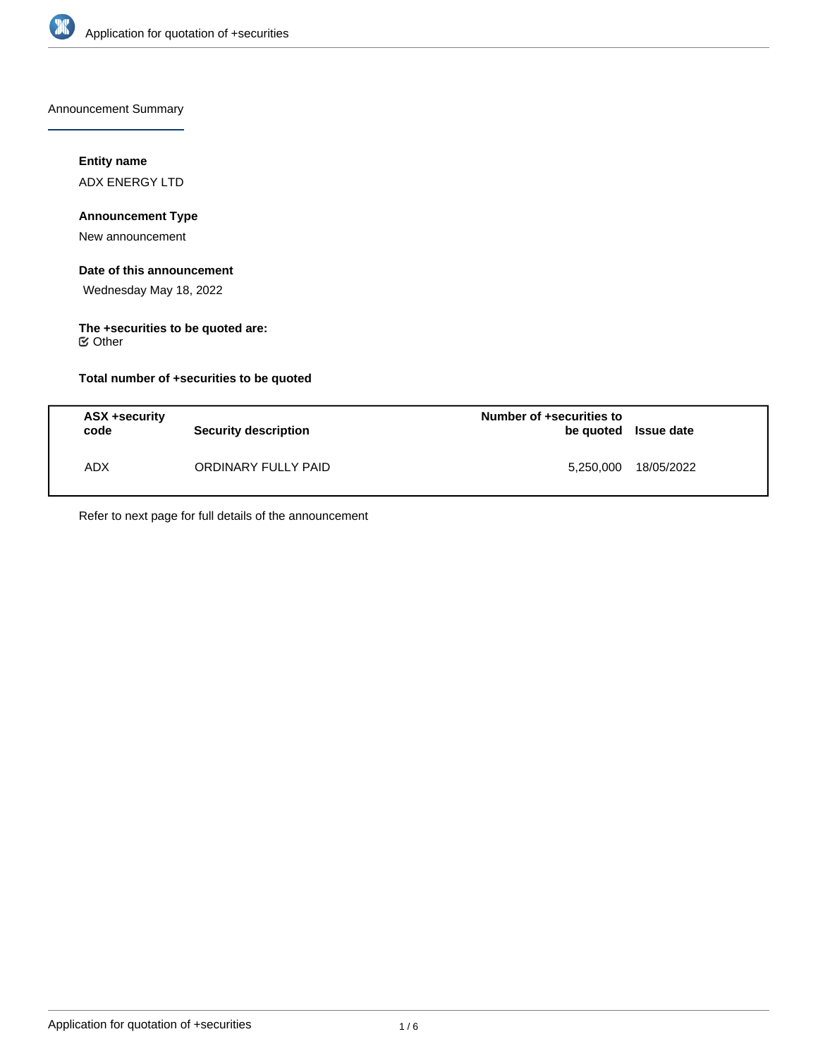

Announcement Summary

# **Entity name**

ADX ENERGY LTD

# **Announcement Type**

New announcement

# **Date of this announcement**

Wednesday May 18, 2022

# **The +securities to be quoted are:**

Other

# **Total number of +securities to be quoted**

| ASX +security<br>code | Security description | Number of +securities to<br>be quoted Issue date |            |
|-----------------------|----------------------|--------------------------------------------------|------------|
| <b>ADX</b>            | ORDINARY FULLY PAID  | 5,250,000                                        | 18/05/2022 |

Refer to next page for full details of the announcement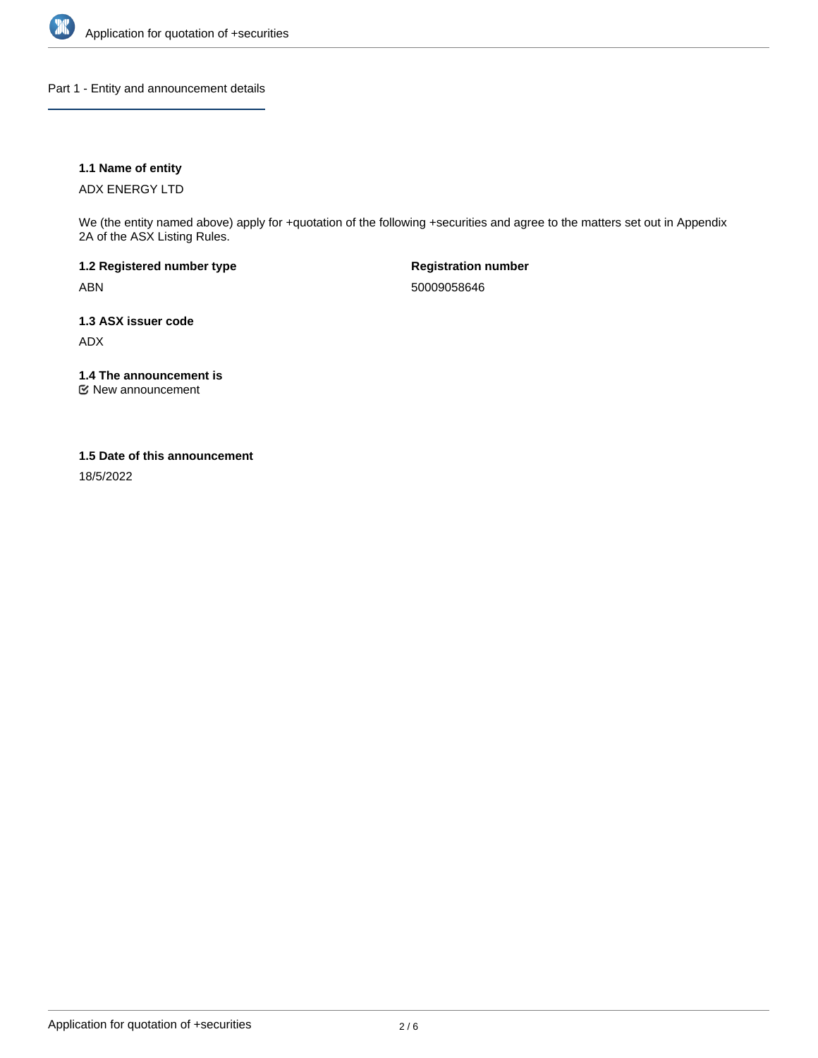

Part 1 - Entity and announcement details

# **1.1 Name of entity**

ADX ENERGY LTD

We (the entity named above) apply for +quotation of the following +securities and agree to the matters set out in Appendix 2A of the ASX Listing Rules.

**1.2 Registered number type** ABN

**Registration number** 50009058646

**1.3 ASX issuer code** ADX

**1.4 The announcement is**

New announcement

## **1.5 Date of this announcement**

18/5/2022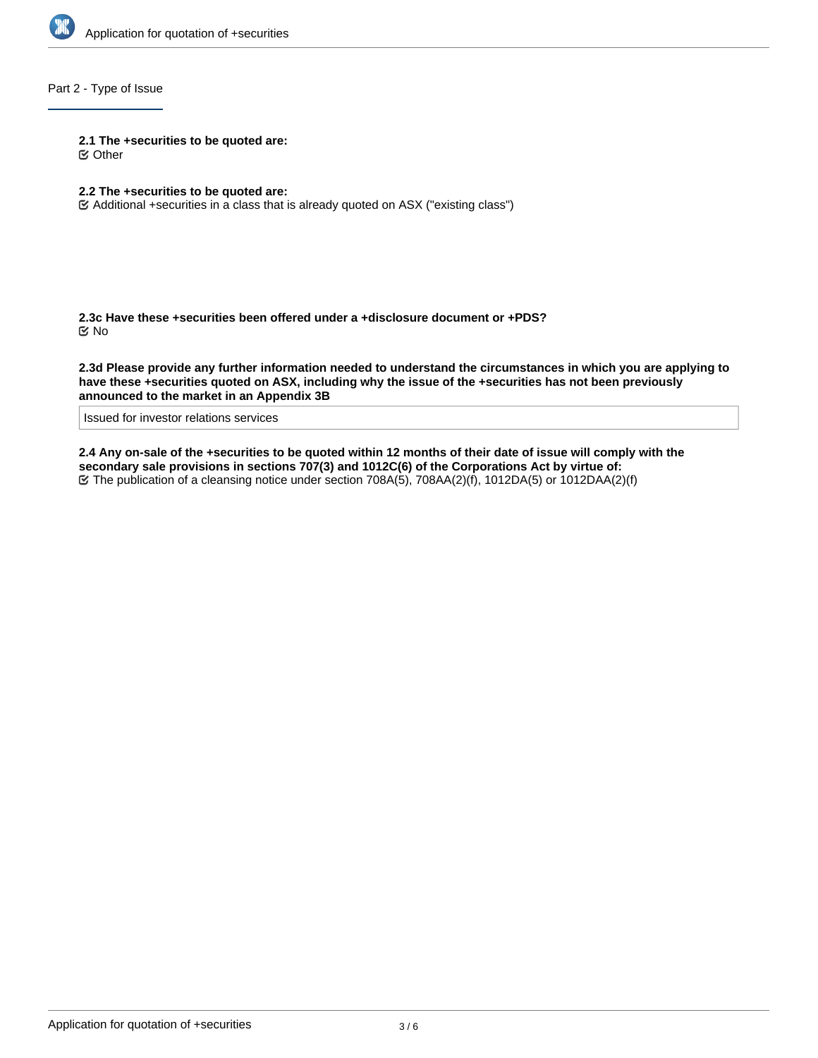

Part 2 - Type of Issue

**2.1 The +securities to be quoted are:**

Other

- **2.2 The +securities to be quoted are:**
- Additional +securities in a class that is already quoted on ASX ("existing class")

**2.3c Have these +securities been offered under a +disclosure document or +PDS?** No

**2.3d Please provide any further information needed to understand the circumstances in which you are applying to have these +securities quoted on ASX, including why the issue of the +securities has not been previously announced to the market in an Appendix 3B**

Issued for investor relations services

**2.4 Any on-sale of the +securities to be quoted within 12 months of their date of issue will comply with the secondary sale provisions in sections 707(3) and 1012C(6) of the Corporations Act by virtue of:** The publication of a cleansing notice under section 708A(5), 708AA(2)(f), 1012DA(5) or 1012DAA(2)(f)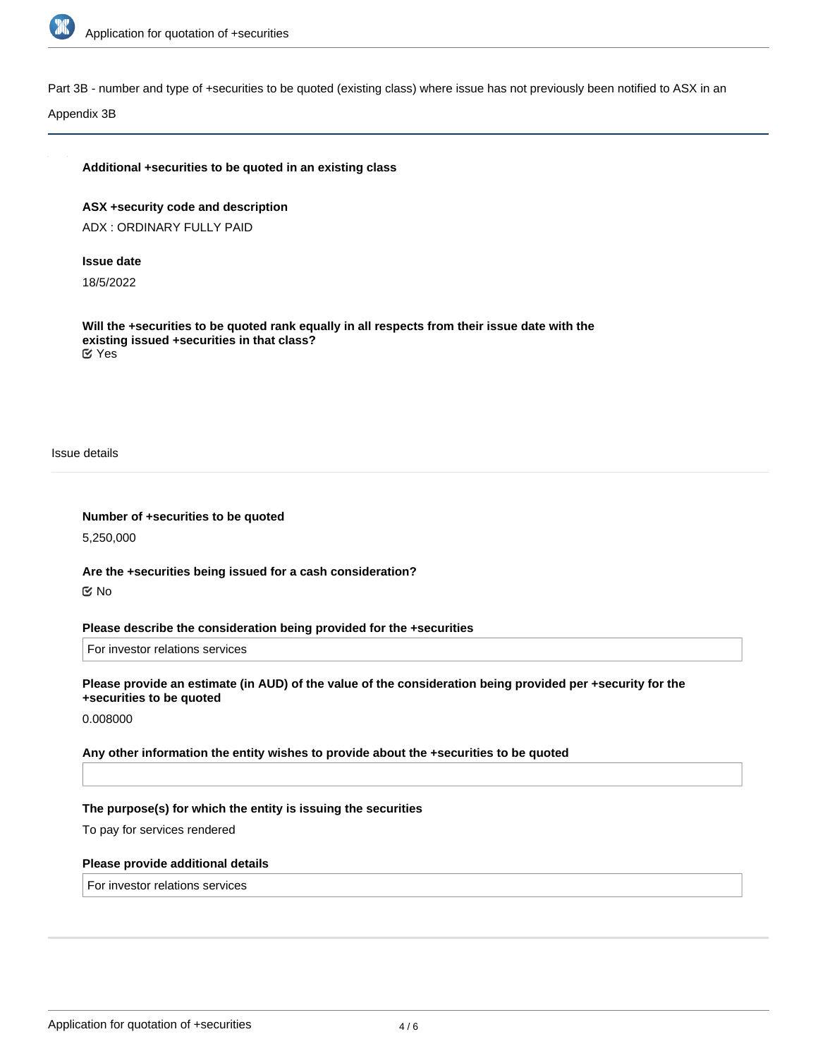

Part 3B - number and type of +securities to be quoted (existing class) where issue has not previously been notified to ASX in an

Appendix 3B

## **Additional +securities to be quoted in an existing class**

**ASX +security code and description** ADX : ORDINARY FULLY PAID

### **Issue date**

18/5/2022

**Will the +securities to be quoted rank equally in all respects from their issue date with the existing issued +securities in that class?** Yes

Issue details

**Number of +securities to be quoted**

5,250,000

**Are the +securities being issued for a cash consideration?** No

**Please describe the consideration being provided for the +securities**

For investor relations services

**Please provide an estimate (in AUD) of the value of the consideration being provided per +security for the +securities to be quoted**

0.008000

**Any other information the entity wishes to provide about the +securities to be quoted**

## **The purpose(s) for which the entity is issuing the securities**

To pay for services rendered

#### **Please provide additional details**

For investor relations services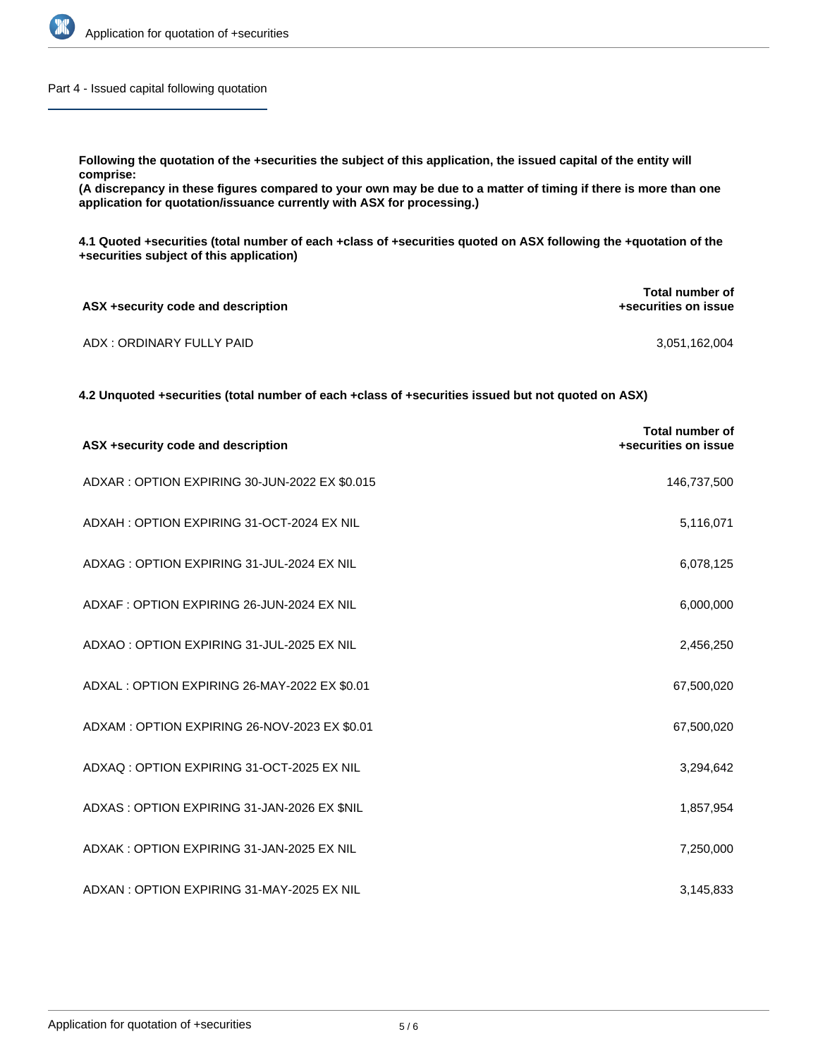

Part 4 - Issued capital following quotation

**Following the quotation of the +securities the subject of this application, the issued capital of the entity will comprise:**

**(A discrepancy in these figures compared to your own may be due to a matter of timing if there is more than one application for quotation/issuance currently with ASX for processing.)**

**4.1 Quoted +securities (total number of each +class of +securities quoted on ASX following the +quotation of the +securities subject of this application)**

| ASX +security code and description | Total number of<br>+securities on issue |  |
|------------------------------------|-----------------------------------------|--|
| ADX : ORDINARY FULLY PAID          | 3,051,162,004                           |  |

**4.2 Unquoted +securities (total number of each +class of +securities issued but not quoted on ASX)**

| ASX +security code and description            | <b>Total number of</b><br>+securities on issue |
|-----------------------------------------------|------------------------------------------------|
| ADXAR: OPTION EXPIRING 30-JUN-2022 EX \$0.015 | 146,737,500                                    |
| ADXAH: OPTION EXPIRING 31-OCT-2024 EX NIL     | 5,116,071                                      |
| ADXAG: OPTION EXPIRING 31-JUL-2024 EX NIL     | 6,078,125                                      |
| ADXAF: OPTION EXPIRING 26-JUN-2024 EX NIL     | 6,000,000                                      |
| ADXAO: OPTION EXPIRING 31-JUL-2025 EX NIL     | 2,456,250                                      |
| ADXAL : OPTION EXPIRING 26-MAY-2022 EX \$0.01 | 67,500,020                                     |
| ADXAM: OPTION EXPIRING 26-NOV-2023 EX \$0.01  | 67,500,020                                     |
| ADXAQ: OPTION EXPIRING 31-OCT-2025 EX NIL     | 3,294,642                                      |
| ADXAS: OPTION EXPIRING 31-JAN-2026 EX \$NIL   | 1,857,954                                      |
| ADXAK: OPTION EXPIRING 31-JAN-2025 EX NIL     | 7,250,000                                      |
| ADXAN: OPTION EXPIRING 31-MAY-2025 EX NIL     | 3,145,833                                      |